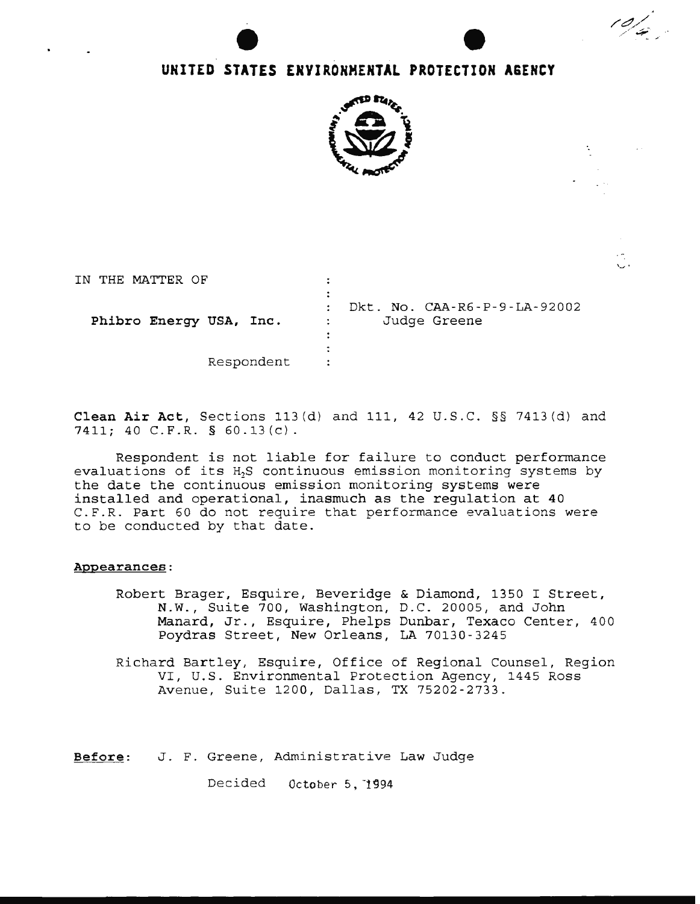# **UNITED STATES EHYIROHM£NTAL PROTECTION AGENCY**



~.

 $10/2$ 

| IN THE MATTER OF        |                                   |
|-------------------------|-----------------------------------|
|                         |                                   |
|                         | Dkt. No. CAA-R6-P-9-LA-92002      |
| Phibro Energy USA, Inc. | Judge Greene<br><b>Contractor</b> |
|                         |                                   |
|                         | ÷                                 |
| Respondent              |                                   |

Clean Air Act, Sections 113(d) and 111, 42 U.S.C. §§ 7413(d) and 7411; 40 C.F.R. § 60.13(c).

Respondent is not liable for failure to conduct performance evaluations of its H<sub>2</sub>S continuous emission monitoring systems by the date the continuous emission monitoring systems were installed and operational, inasmuch as the regulation at 40 C.F.R. Part 60 do not require that performance evaluations were to be conducted by that date.

#### Appearances:

- Robert Brager, Esquire, Beveridge & Diamond, 1350 I Street, N.W., Suite 700, Washington, D.C. 20005, and John Manard, Jr., Esquire, Phelps Dunbar, Texaco Center, 400 Poydras Street, New Orleans, LA 70130-3245
- Richard Bartley, Esquire, Office of Regional Counsel, Region VI, U.S. Environmental Protection Agency, 1445 Ross Avenue, Suite 1200, Dallas, TX 75202-2733.

Before: J. F. Greene, Administrative Law Judge

Decided October 5, 1994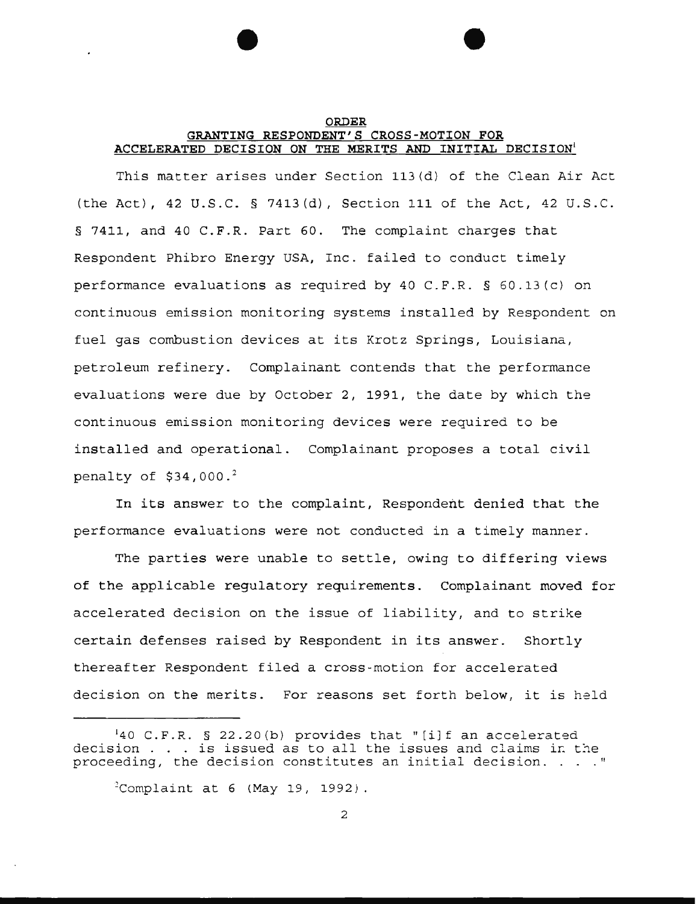### ORDER GRANTING RESPONDENT'S CROSS-MOTION FOR ACCELERATED DECISION ON THE MERITS AND INITIAL DECISION'

This matter arises under Section 113(d) of the Clean Air Act (the Act), 42 U.S.C. § 7413(d), Section 111 of the Act, 42 U.S.C. § 7411, and 40 C.F.R. Part 60. The complaint charges that Respondent Phibro Energy USA, Inc. failed to conduct timely performance evaluations as required by 40 C.P.R. § 60.13(c) on continuous emission monitoring systems installed by Respondent on fuel gas combustion devices at its Krotz Springs, Louisiana, petroleum refinery. Complainant contends that the performance evaluations were due by October 2, 1991, the date by which the continuous emission monitoring devices were required to be installed and operational. Complainant proposes a total civil penalty of  $$34,000.^2$ 

In its answer to the complaint, Respondent denied that the performance evaluations were not conducted in a timely manner.

The parties were unable to settle, owing to differing views of the applicable regulatory requirements. Complainant moved for accelerated decision on the issue of liability, and to strike certain defenses raised by Respondent in its answer. Shortly thereafter Respondent filed a cross-motion for accelerated decision on the merits. For reasons set forth below, it is held

<sup>1</sup>40 C.F.R. § 22.20(b) provides that "[i]f an accelerated decision  $. . .$  is issued as to all the issues and claims in the proceeding, the decision constitutes an initial decision. . . . "

2 Complaint at 6 (May 19, 1992)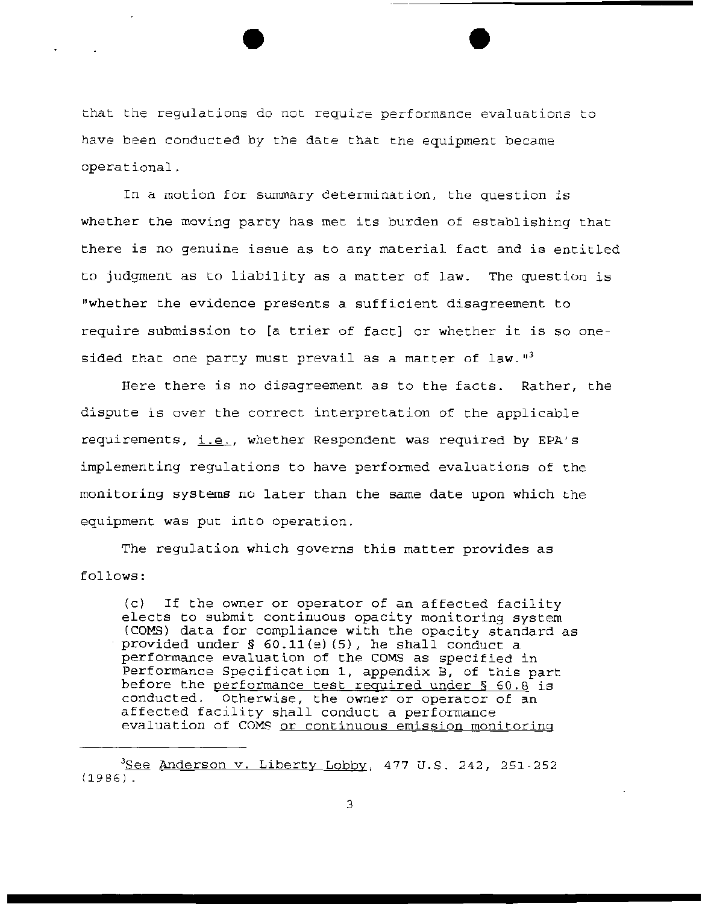that the regulations do not require performance evaluations to have been conducted by the date that the equipment became opera t ional .

In a motion for summary determination, the question is whether the moving party has met its burden of establishing that there is no genuine issue as to any material fact and is entitled to judgment as to liability as a matter of law. The question is "whether the evidence presents a sufficient disagreement to require submission to [a trier of fact] or whether it is so onesided that one party must prevail as a matter of law." $3$ 

Here there is no disagreement as to the facts. Rather, the dispute is over the correct interpretation of the applicable requirements,  $i.e.,$  whether Respondent was required by EPA's implementing regulations to have performed evaluations of the monitoring systems no later than the same date upon which the equipment was put into operation.

The regulation which governs this matter provides as follows:

(c) If the owner or operator of an affected facility elects to submit continuous opacity monitoring system (COMS) data for compliance with the opacity standard as provided under§ 60.11(e) {5), he shall conduct a performance evaluation of the COMS as specified in Performance Specification 1, appendix  $B$ , of this part before the performance test required under § 60.8 is conducted. Otherwise, the owner or operator of an affe cted facility shall conduct a performance evaluation of COMS or continuous emission monitoring

<sup>3</sup>See Anderson v. Liberty Lobby, 477 U.S. 242, 251-252 (1986).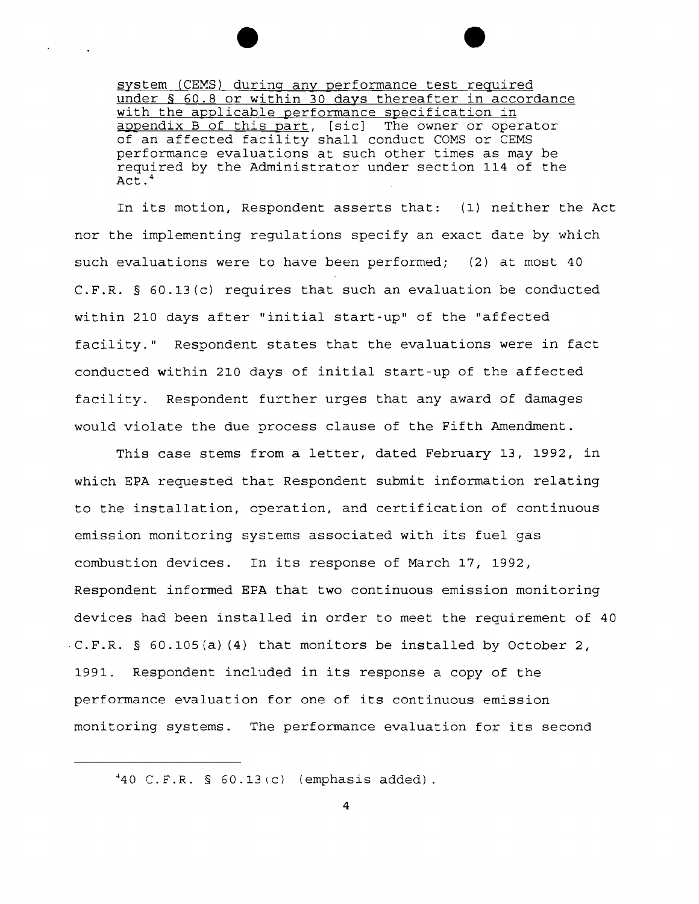system (CEMS) during any performance test required under § 60.8 or within 30 days thereafter in accordance with the applicable performance specification in appendix B of this part, [sic] The owner or operator of an affected facility shall conduct COMS or CEMS performance evaluations at such other times as may be required by the Administrator under section 114 of the Act. 4

In its motion, Respondent asserts that: (1) neither the Act nor the implementing regulations specify an exact date by which such evaluations were to have been performed; (2) at most 40 C.F.R. § 60.13(c) requires that such an evaluation be conducted within 210 days after "initial start-up" of the "affected facility." Respondent states that the evaluations were in fact conducted within 210 days of initial start-up of the affected facility. Respondent further urges that any award of damages would violate the due process clause of the Fifth Amendment.

This case stems from a letter, dated February 13, 1992, in which EPA requested that Respondent submit information relating to the installation, operation, and certification of continuous emission monitoring systems associated with its fuel gas combustion devices. In its response of March 17, 1992, Respondent informed EPA that two continuous emission monitoring devices had been installed in order to meet the requirement of 40 C.F.R. § 60.105(a) (4) that monitors be installed by October 2, 1991. Respondent included in its response a copy of the performance evaluation for one of its continuous emission monitoring systems. The performance evaluation for its second

4 40 C.F.R. § 60.13 (C) (emphasis added).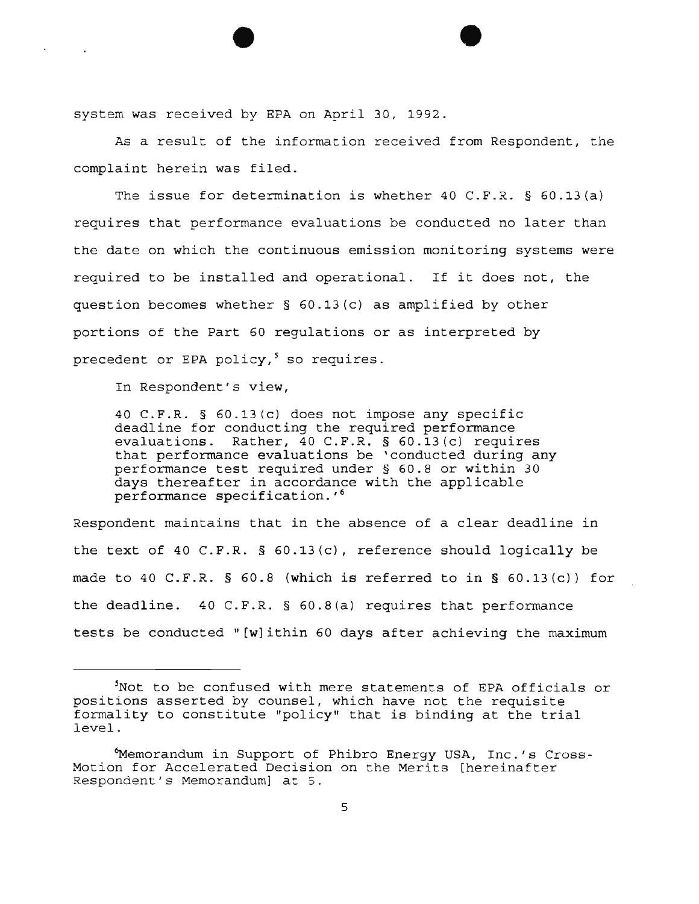system was received by EPA on April 30, 1992.

As a result of the information received from Respondent, the complaint herein was filed.

The issue for determination is whether 40 C.F.R. § 60.13(a) requires that performance evaluations be conducted no later than the date on which the continuous emission monitoring systems were required to be installed and operational. If it does not, the question becomes whether  $\S$  60.13(c) as amplified by other portions of the Part 60 regulations or as interpreted by precedent or EPA policy, $<sup>5</sup>$  so requires.</sup>

In Respondent's view,

40 C.F.R. § 60.13(c) does not impose any specific deadline for conducting the required performance evaluations. Rather, 40 C.F.R. § 60.13(c) requires that performance evaluations be 'conducted during any performance test required under § 60.8 or within 30 days thereafter in accordance with the applicable performance specification.<sup>'6</sup>

Respondent maintains that in the absence of a clear deadline in the text of 40 C.F.R. § 60.13(c), reference should logically be made to 40 C.F.R. § 60.8 (which is referred to in § 60.13(c)) for the deadline. 40 C.F.R. § 60.8(a) requires that performance tests be conducted" [w]ithin 60 days after achieving the maximum

<sup>5</sup> Not to be confused with mere statements of EPA officials or positions asserted by counsel, which have not the requisite formality to constitute "policy" that is binding at the trial level.

<sup>~</sup>emorandum in Support of Phibro Energy USA, Inc.'s Cross-Motion for Accelerated Decision on the Merits [hereinafter Respondent's Memorandum] at 5.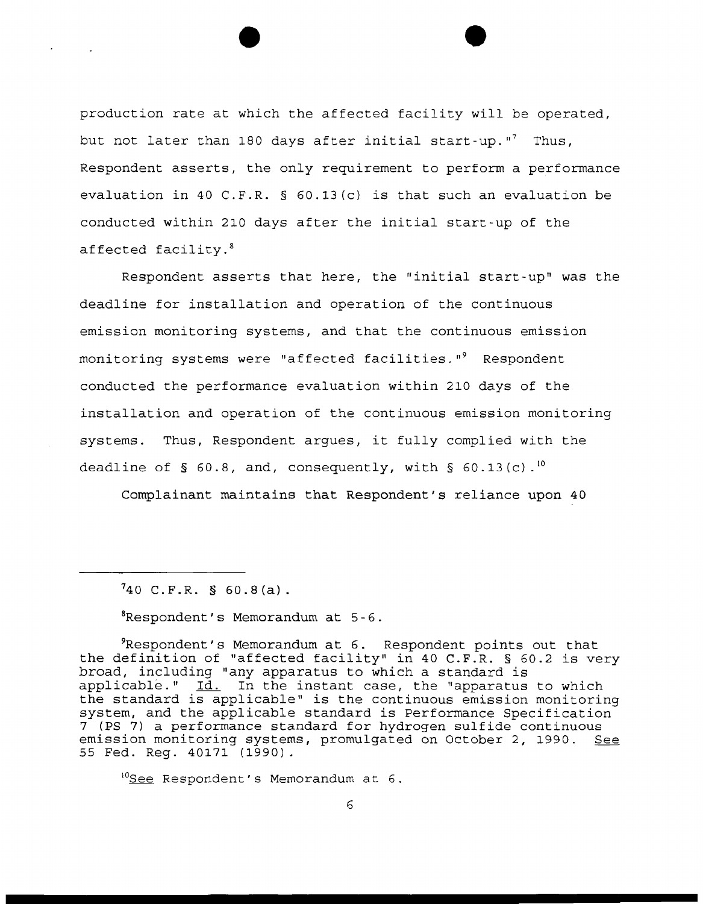production rate at which the affected facility will be operated, but not later than 180 days after initial start-up."<sup>7</sup> Thus, Respondent asserts, the only requirement to perform a performance evaluation in 40 C.F.R. § 60.13(c) is that such an evaluation be conducted within 210 days after the initial start-up of the affected facility. <sup>8</sup>

Respondent asserts that here, the "initial start-up" was the deadline for installation and operation of the continuous emission monitoring systems, and that the continuous emission monitoring systems were "affected facilities."<sup>9</sup> Respondent conducted the performance evaluation within 210 days of the installation and operation of the continuous emission monitoring systems. Thus, Respondent argues, it fully complied with the deadline of § 60.8, and, consequently, with § 60.13(c).<sup>10</sup>

Complainant maintains that Respondent's reliance upon 40

 $740$  C.F.R. § 60.8(a).

%Respondent's Memorandum at 5-6.

9 Respondent's Memorandum at 6. Respondent points out that the definition of "affected facility" in 40 C.F.R. § 60.2 is very broad, including "any apparatus to which a standard is<br>applicable." Id. In the instant case, the "apparatus Id. In the instant case, the "apparatus to which the standard is applicable" is the continuous emission monitoring system, and the applicable standard is Performance Specification 7 (PS 7) a performance standard for hydrogen sulfide continuous emission monitoring systems, promulgated on October 2, 1990. See 55 Fed. Reg. 40171 (1990).

<sup>10</sup>See Respondent's Memorandum at 6.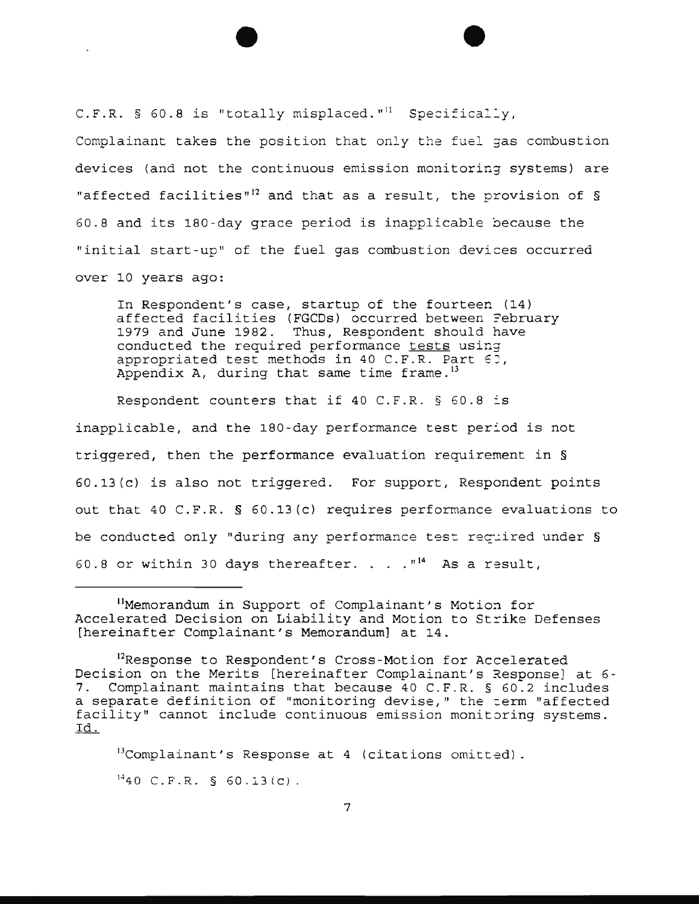C.F.R.  $\S$  60.8 is "totally misplaced."<sup>11</sup> Specifically,

Complainant takes the position that only the fuel gas combustion devices (and not the continuous emission monitoring systems) are "affected facilities"<sup>12</sup> and that as a result, the provision of  $\S$  $60.8$  and its  $180$ -day grace period is inapplicable because the "initial start-up" of the fuel gas combustion devices occurred over 10 years ago:

In Respondent's case, startup of the fourteen (14) affected facilities (FGCDs) occurred between ?ebruary 1979 and June 1982. Thus, Respondent should have conducted the required performance tests using appropriated test methods in 40 C.F.R. Part EJ, Appendix A, during that same time frame.<sup>13</sup>

Respondent counters that if 40 C.F.R.  $\S$  60.8 is inapplicable, and the 180-day performance test period is not triggered, then the performance evaluation requirement in § 60.13(c) is also not triggered. For support, Respondent points out that 40 C.F.R. § 60.13(c) requires performance evaluations to be conducted only "during any performance test recuired under § 60.8 or within 30 days thereafter.  $\ldots$  . "<sup>14</sup> As a result,

 $13$ Complainant's Response at 4 (citations omitted).  $^{14}40$  C.F.R. § 60.13(c).

<sup>11</sup>Memorandum in Support of Complainant's Motion for Accelerated Decision on Liability and Motion to Strike Defenses [hereinafter Complainant's Memorandum] at 14.

<sup>12</sup>Response to Respondent's Cross-Motion for Accelerated Decision on the Merits [hereinafter Complainant's Response] at 6-7. Complainant maintains that because 40 C.F.R. § 60.2 includes a separate definition of "monitoring devise," the term "affected facility" cannot include continuous emission monitoring systems. Id.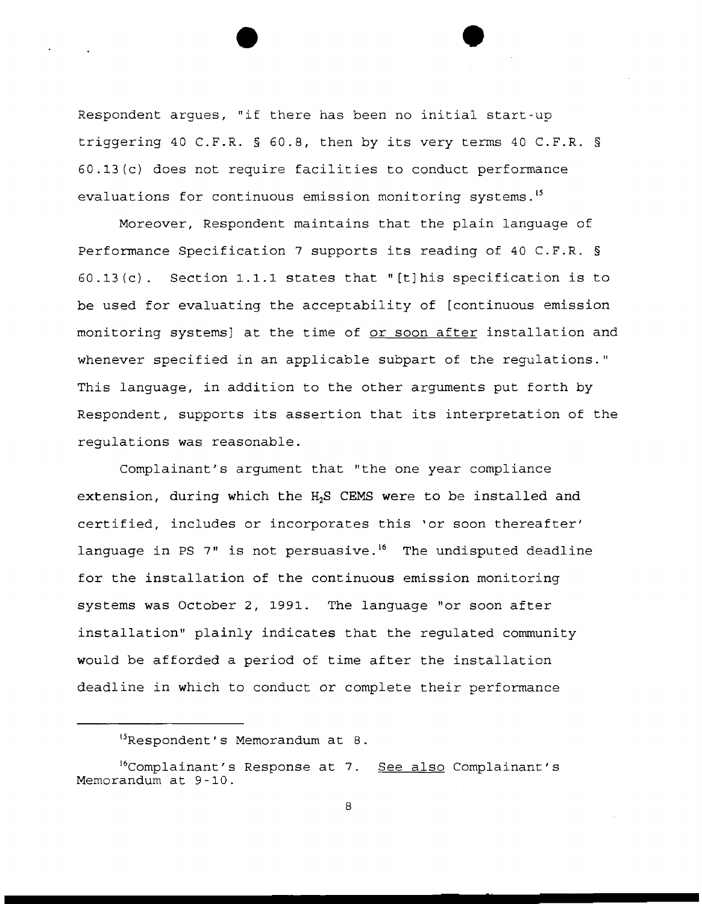Respondent argues, ~if there has been no initial start-up triggering 40 C.F.R. § 60.8, then by its very terms 40 C.F.R. § 60.13(c) does not require facilities to conduct performance evaluations for continuous emission monitoring systems.<sup>15</sup>

Moreover, Respondent maintains that the plain language of Performance Specification 7 supports its reading of 40 C.F.R. § 60.13(c). Section 1.1.1 states that "[t]his specification is to be used for evaluating the acceptability of [continuous emission monitoring systems] at the time of or soon after installation and whenever specified in an applicable subpart of the regulations." This language, in addition to the other arguments put forth by Respondent, supports its assertion that its interpretation of the regulations was reasonable.

Complainant's argument that "the one year compliance extension, during which the H<sub>2</sub>S CEMS were to be installed and certified, includes or incorporates this 'or soon thereafter' language in PS  $7"$  is not persuasive.<sup>16</sup> The undisputed deadline for the installation of the continuous emission monitoring systems was October 2, 1991. The language "or soon after installation" plainly indicates that the regulated community would be afforded a period of time after the installation deadline in which to conduct or complete their performance

<sup>15</sup>Respondent' s Memorandum at 8.

<sup>&</sup>lt;sup>16</sup>Complainant's Response at 7. See also Complainant's Memorandum at 9-10.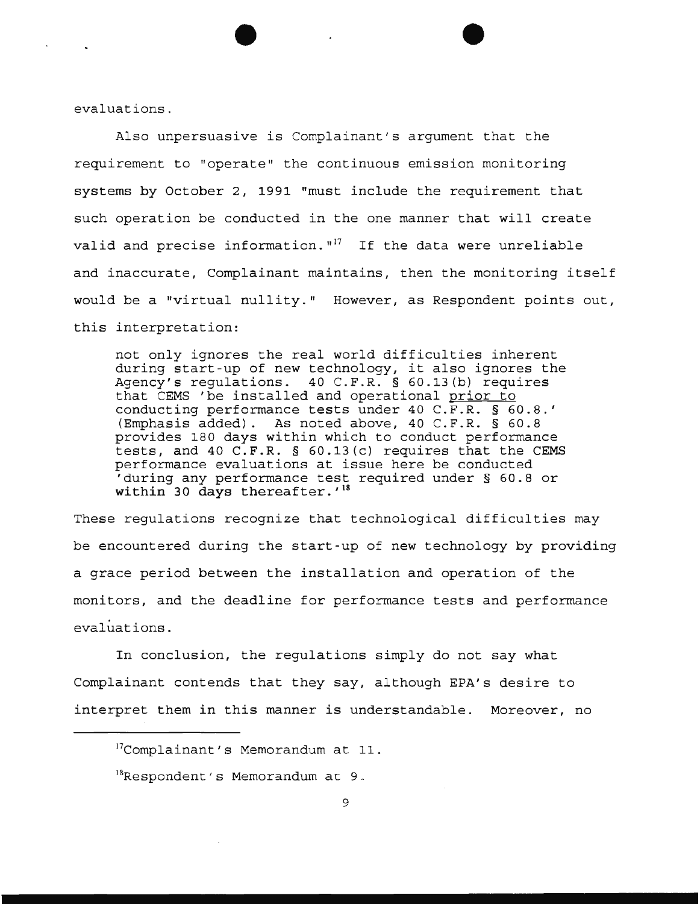evaluations.

Also unpersuasive is Complainant's argument that the requirement to "operate'' the continuous emission monitoring systems by October 2, 1991 "must include the requirement that such operation be conducted in the one manner that will create valid and precise information.  $"''$  If the data were unreliable and inaccurate, Complainant maintains, then the monitoring itself would be a "virtual nullity." However, as Respondent points out, this interpretation:

not only ignores the real world difficulties inherent during start-up of new technology, it also ignores the Agency's regulations. 40 C.F.R. § 60.13(b) requires that CEMS 'be installed and operational prior to conducting performance tests under 40 C.F.R. § *60.8.'*  (Emphasis added). As noted above, 40 C.F.R. § 60.8 provides 180 days within which to conduct performance tests, and 40 C.F.R. § 60.13(c) requires that the CEMS performance evaluations at issue here be conducted 'during any performance test required under § 60.8 or within 30 days thereafter.'<sup>18</sup>

These regulations recognize that technological difficulties may be encountered during the start-up of new technology by providing a grace period between the installation and operation of the monitors, and the deadline for performance tests and performance evaluations.

In conclusion, the regulations simply do not say what Complainant contends that they say, although EPA's desire to interpret them in this manner is understandable. Moreover, no

<sup>&</sup>lt;sup>17</sup>Complainant's Memorandum at 11.

<sup>&</sup>lt;sup>18</sup>Respondent's Memorandum at 9.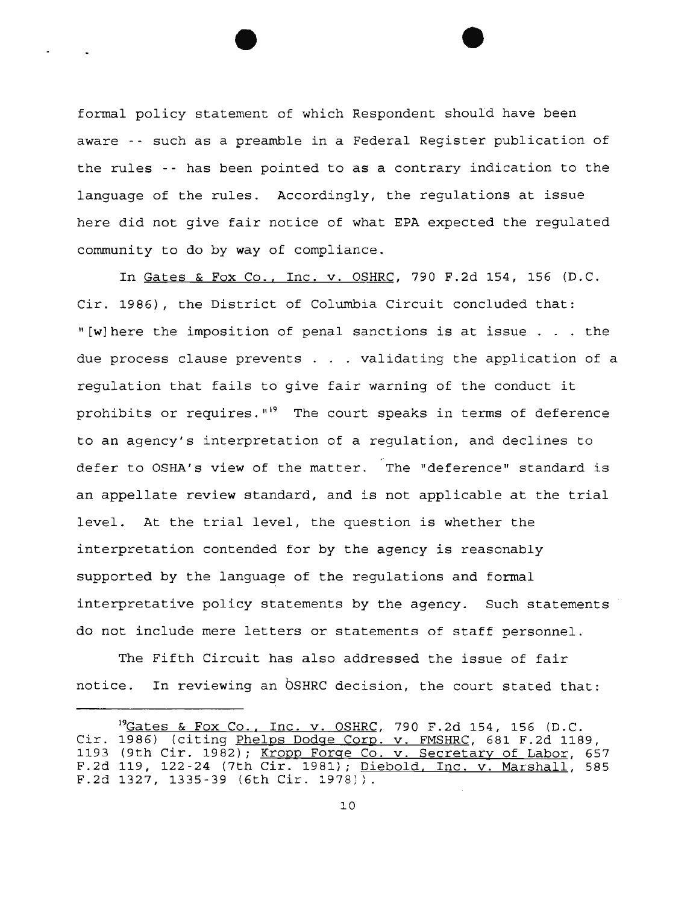formal policy statement of which Respondent should have been aware -- such as a preamble in a Federal Register publication of the rules -- has been pointed to as a contrary indication to the language of the rules. Accordingly, the regulations at issue here did not give fair notice of what EPA expected the regulated community to do by way of compliance.

In Gates & Fox Co., Inc. v. OSHRC, 790 F.2d 154, 156 (D.C. Cir. 1986), the District of Columbia Circuit concluded that: "[w]here the imposition of penal sanctions is at issue . the due process clause prevents . . validating the application of a regulation that fails to give fair warning of the conduct it prohibits or requires."<sup>19</sup> The court speaks in terms of deference to an agency's interpretation of a regulation, and declines to defer to OSHA's view of the matter. The "deference" standard is an appellate review standard, and is not applicable at the trial level. At the trial level, the question is whether the interpretation contended for by the agency is reasonably supported by the language of the regulations and formal interpretative policy statements by the agency. Such statements do not include mere letters or statements of staff personnel.

The Fifth Circuit has also addressed the issue of fair notice. In reviewing an bSHRC decision, the court stated that:

<sup>&</sup>lt;sup>19</sup>Gates & Fox Co., Inc. v. OSHRC, 790 F.2d 154, 156 (D.C.<br>Cir. 1986) (citing <u>Phelps Dodge Corp. v. FMSHRC</u>, 681 F.2d 1189, 1193 (9th Cir. 1982); <u>Kropp Forge Co. v. Secretary of Labor</u>, 657 ---- (101 011, 122-24 (7th Cir. 1981); <u>Diebold, Inc. v. Marshall</u>, 585  $F.2d$  1327, 1335-39 (6th Cir. 1978))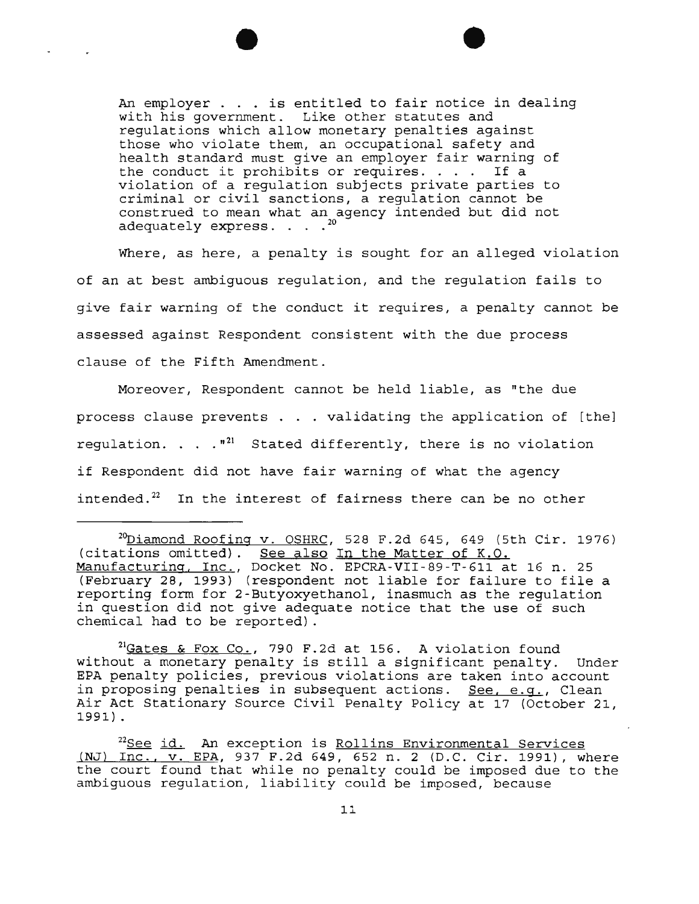An employer . . . is entitled to fair notice in dealing with his government. Like other statutes and regulations which allow monetary penalties against those who violate them, an occupational safety and health standard must give an employer fair warning of the conduct it prohibits or requires.  $\ldots$  If a violation of a regulation subjects private parties to criminal or civil sanctions, a regulation cannot be construed to mean what an agency intended but did not adequately express.  $20$ 

Where, as here, a penalty is sought for an alleged violation of an at best ambiguous regulation, and the regulation fails to give fair warning of the conduct it requires, a penalty cannot be assessed against Respondent consistent with the due process clause of the Fifth Amendment.

Moreover, Respondent cannot be held liable, as "the due process clause prevents . . validating the application of [the] requlation. . .  $I^{11}$  Stated differently, there is no violation if Respondent did not have fair warning of what the agency intended.<sup>22</sup> In the interest of fairness there can be no other

 $^{21}$ Gates & Fox Co., 790 F.2d at 156. A violation found without a monetary penalty is still a significant penalty. Under EPA penalty policies, previous violations are taken into account in proposing penalties in subsequent actions. See, e.g., Clean Air Act Stationary Source Civil Penalty Policy at 17 (October 21, 1991).

 $^{20}$ Diamond Roofing v. OSHRC, 528 F.2d 645, 649 (5th Cir. 1976) (citations omitted). See also In the Matter of K.O. Manufacturing, Inc., Docket No. EPCRA-VII-89-T-611 at 16 n. 25 (February 28, 1993) (respondent not liable for failure to file a reporting form for 2-Butyoxyethanol, inasmuch as the regulation in question did not give adequate notice that the use of such chemical had to be reported) .

 $22$ See id. An exception is Rollins Environmental Services (NJ) Inc., v. EPA, 937 F.2d 649, 652 n. 2 (D.C. Cir. 1991), where the court found that while no penalty could be imposed due to the ambiguous regulation, liability could be imposed, because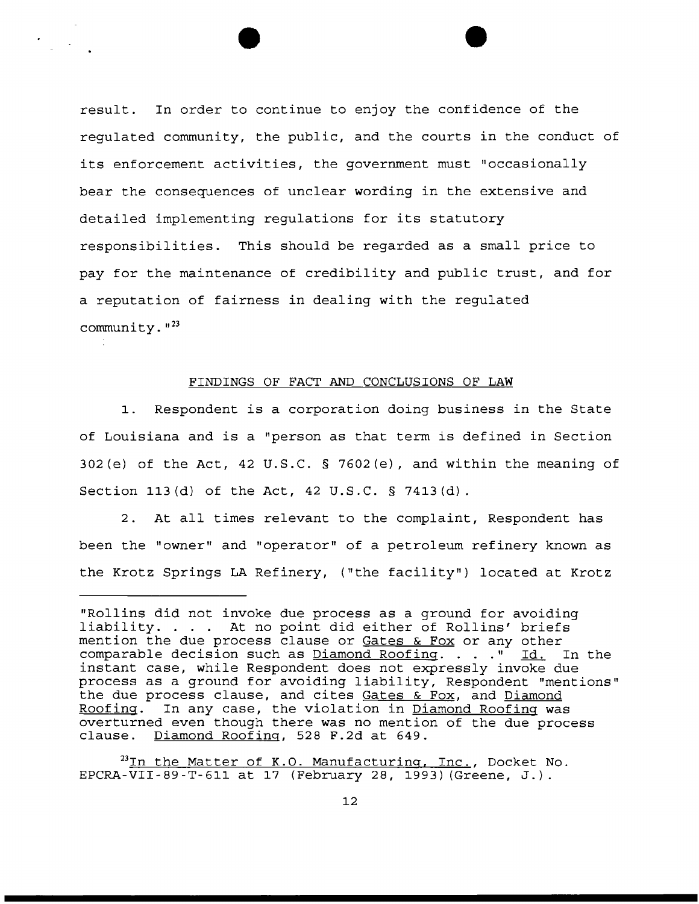result. In order to continue to enjoy the confidence of the regulated community, the public, and the courts in the conduct of its enforcement activities, the government must "occasionally bear the consequences of unclear wording in the extensive and detailed implementing regulations for its statutory responsibilities. This should be regarded as a small price to pay for the maintenance of credibility and public trust, and for a reputation of fairness in dealing with the regulated community. $1^{123}$ 

#### FINDINGS OF FACT AND CONCLUSIONS OF LAW

1. Respondent is a corporation doing business in the State of Louisiana and is a "person as that term is defined in Section 302(e) of the Act, 42 U.S.C. § 7602(e), and within the meaning of Section 113(d) of the Act, 42 U.S.C. § 7413(d).

2. At all times relevant to the complaint, Respondent has been the "owner" and "operator" of a petroleum refinery known as the Krotz Springs LA Refinery, ("the facility") located at Krotz

<sup>&</sup>quot;Rollins did not invoke due process as a ground for avoiding liability. . . . At no point did either of Rollins' briefs mention the due process clause or Gates & Fox or any other comparable decision such as  $Diamond Roofinq.$ ..." Id. In the instant case, while Respondent does not expressly invoke due process as a ground for avoiding liability, Respondent "mentions" the due process clause, and cites Gates & Fox, and Diamond Roofing. In any case, the violation in Diamond Roofing was overturned even though there was no mention of the due process clause. Diamond Roofing, 528 F.2d at 649.

 $^{23}$ In the Matter of K.O. Manufacturing, Inc., Docket No. EPCRA-VII-89-T-611 at 17 (February 28, 1993) (Greene, J.).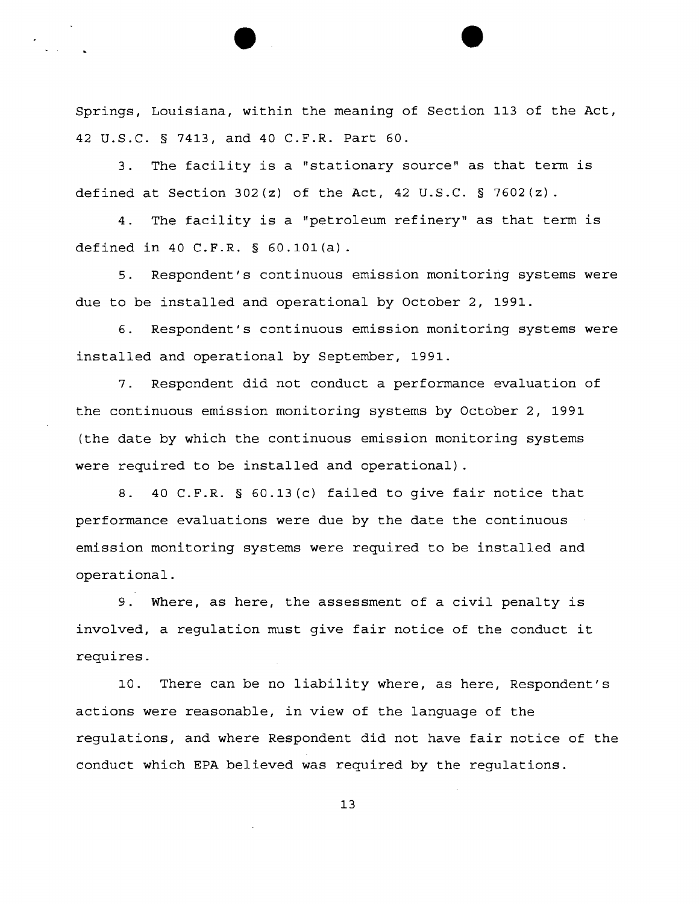Springs, Louisiana, within the meaning of Section 113 of the Act, 42 U.S.C. § 7413, and 40 C.F.R. Part 60.

3. The facility is a "stationary source" as that term is defined at Section  $302(z)$  of the Act, 42 U.S.C. § 7602 $(z)$ .

4. The facility is a "petroleum refinery" as that term is defined in 40 C.F.R. § 60.101(a).

5. Respondent's continuous emission monitoring systems were due to be installed and operational by October 2, 1991.

6. Respondent's continuous emission monitoring systems were installed and operational by September, 1991.

7. Respondent did not conduct a performance evaluation of the continuous emission monitoring systems by October 2, 1991 (the date by which the continuous emission monitoring systems were required to be installed and operational).

8. 40 C.F.R. § 60.13(c) failed to give fair notice that performance evaluations were due by the date the continuous emission monitoring systems were required to be installed and operational.

9. Where, as here, the assessment of a civil penalty is involved, a regulation must give fair notice of the conduct it requires.

10. There can be no liability where, as here, Respondent's actions were reasonable, in view of the language of the regulations, and where Respondent did not have fair notice of the conduct which EPA believed was required by the regulations.

13